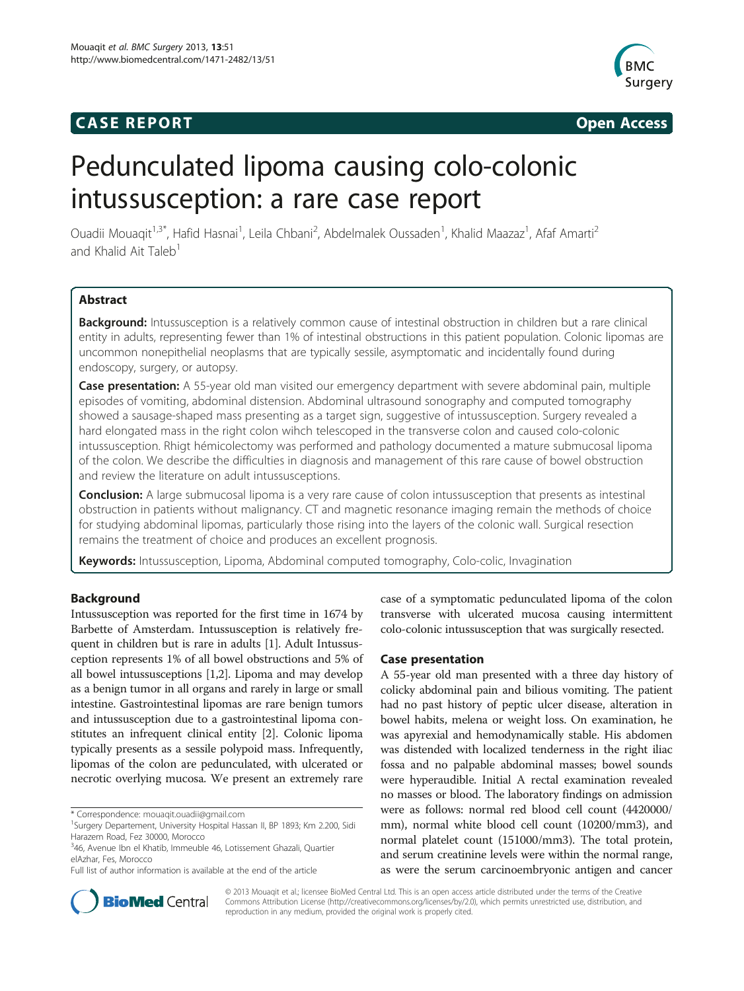## **CASE REPORT CASE REPORT**



# Pedunculated lipoma causing colo-colonic intussusception: a rare case report

Ouadii Mouaqit<sup>1,3\*</sup>, Hafid Hasnai<sup>1</sup>, Leila Chbani<sup>2</sup>, Abdelmalek Oussaden<sup>1</sup>, Khalid Maazaz<sup>1</sup>, Afaf Amarti<sup>2</sup> and Khalid Ait Taleb<sup>1</sup>

## Abstract

Background: Intussusception is a relatively common cause of intestinal obstruction in children but a rare clinical entity in adults, representing fewer than 1% of intestinal obstructions in this patient population. Colonic lipomas are uncommon nonepithelial neoplasms that are typically sessile, asymptomatic and incidentally found during endoscopy, surgery, or autopsy.

Case presentation: A 55-year old man visited our emergency department with severe abdominal pain, multiple episodes of vomiting, abdominal distension. Abdominal ultrasound sonography and computed tomography showed a sausage-shaped mass presenting as a target sign, suggestive of intussusception. Surgery revealed a hard elongated mass in the right colon wihch telescoped in the transverse colon and caused colo-colonic intussusception. Rhigt hémicolectomy was performed and pathology documented a mature submucosal lipoma of the colon. We describe the difficulties in diagnosis and management of this rare cause of bowel obstruction and review the literature on adult intussusceptions.

**Conclusion:** A large submucosal lipoma is a very rare cause of colon intussusception that presents as intestinal obstruction in patients without malignancy. CT and magnetic resonance imaging remain the methods of choice for studying abdominal lipomas, particularly those rising into the layers of the colonic wall. Surgical resection remains the treatment of choice and produces an excellent prognosis.

Keywords: Intussusception, Lipoma, Abdominal computed tomography, Colo-colic, Invagination

## Background

Intussusception was reported for the first time in 1674 by Barbette of Amsterdam. Intussusception is relatively frequent in children but is rare in adults [\[1\]](#page-3-0). Adult Intussusception represents 1% of all bowel obstructions and 5% of all bowel intussusceptions [\[1,2\]](#page-3-0). Lipoma and may develop as a benign tumor in all organs and rarely in large or small intestine. Gastrointestinal lipomas are rare benign tumors and intussusception due to a gastrointestinal lipoma constitutes an infrequent clinical entity [[2\]](#page-3-0). Colonic lipoma typically presents as a sessile polypoid mass. Infrequently, lipomas of the colon are pedunculated, with ulcerated or necrotic overlying mucosa. We present an extremely rare

\* Correspondence: [mouaqit.ouadii@gmail.com](mailto:mouaqit.ouadii@gmail.com) <sup>1</sup>

case of a symptomatic pedunculated lipoma of the colon transverse with ulcerated mucosa causing intermittent colo-colonic intussusception that was surgically resected.

## Case presentation

A 55-year old man presented with a three day history of colicky abdominal pain and bilious vomiting. The patient had no past history of peptic ulcer disease, alteration in bowel habits, melena or weight loss. On examination, he was apyrexial and hemodynamically stable. His abdomen was distended with localized tenderness in the right iliac fossa and no palpable abdominal masses; bowel sounds were hyperaudible. Initial A rectal examination revealed no masses or blood. The laboratory findings on admission were as follows: normal red blood cell count (4420000/ mm), normal white blood cell count (10200/mm3), and normal platelet count (151000/mm3). The total protein, and serum creatinine levels were within the normal range, as were the serum carcinoembryonic antigen and cancer



© 2013 Mouaqit et al.; licensee BioMed Central Ltd. This is an open access article distributed under the terms of the Creative Commons Attribution License [\(http://creativecommons.org/licenses/by/2.0\)](http://creativecommons.org/licenses/by/2.0), which permits unrestricted use, distribution, and reproduction in any medium, provided the original work is properly cited.

<sup>&</sup>lt;sup>1</sup>Surgery Departement, University Hospital Hassan II, BP 1893; Km 2.200, Sidi Harazem Road, Fez 30000, Morocco

<sup>&</sup>lt;sup>3</sup>46, Avenue Ibn el Khatib, Immeuble 46, Lotissement Ghazali, Quartier elAzhar, Fes, Morocco

Full list of author information is available at the end of the article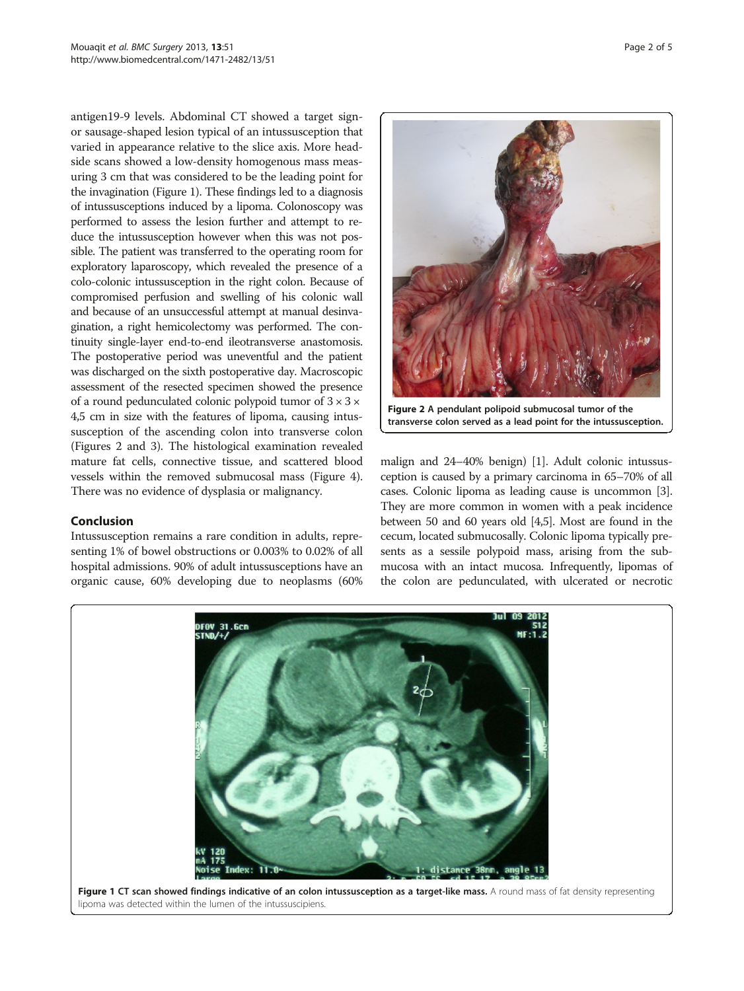antigen19-9 levels. Abdominal CT showed a target signor sausage-shaped lesion typical of an intussusception that varied in appearance relative to the slice axis. More headside scans showed a low-density homogenous mass measuring 3 cm that was considered to be the leading point for the invagination (Figure 1). These findings led to a diagnosis of intussusceptions induced by a lipoma. Colonoscopy was performed to assess the lesion further and attempt to reduce the intussusception however when this was not possible. The patient was transferred to the operating room for exploratory laparoscopy, which revealed the presence of a colo-colonic intussusception in the right colon. Because of compromised perfusion and swelling of his colonic wall and because of an unsuccessful attempt at manual desinvagination, a right hemicolectomy was performed. The continuity single-layer end-to-end ileotransverse anastomosis. The postoperative period was uneventful and the patient was discharged on the sixth postoperative day. Macroscopic assessment of the resected specimen showed the presence of a round pedunculated colonic polypoid tumor of  $3 \times 3 \times$ 4,5 cm in size with the features of lipoma, causing intussusception of the ascending colon into transverse colon (Figures 2 and [3\)](#page-2-0). The histological examination revealed mature fat cells, connective tissue, and scattered blood vessels within the removed submucosal mass (Figure [4](#page-2-0)). There was no evidence of dysplasia or malignancy.

## Conclusion

Intussusception remains a rare condition in adults, representing 1% of bowel obstructions or 0.003% to 0.02% of all hospital admissions. 90% of adult intussusceptions have an organic cause, 60% developing due to neoplasms (60%



Figure 2 A pendulant polipoid submucosal tumor of the transverse colon served as a lead point for the intussusception.

malign and 24–40% benign) [\[1\]](#page-3-0). Adult colonic intussusception is caused by a primary carcinoma in 65–70% of all cases. Colonic lipoma as leading cause is uncommon [[3](#page-3-0)]. They are more common in women with a peak incidence between 50 and 60 years old [\[4,5\]](#page-3-0). Most are found in the cecum, located submucosally. Colonic lipoma typically presents as a sessile polypoid mass, arising from the submucosa with an intact mucosa. Infrequently, lipomas of the colon are pedunculated, with ulcerated or necrotic



lipoma was detected within the lumen of the intussuscipiens.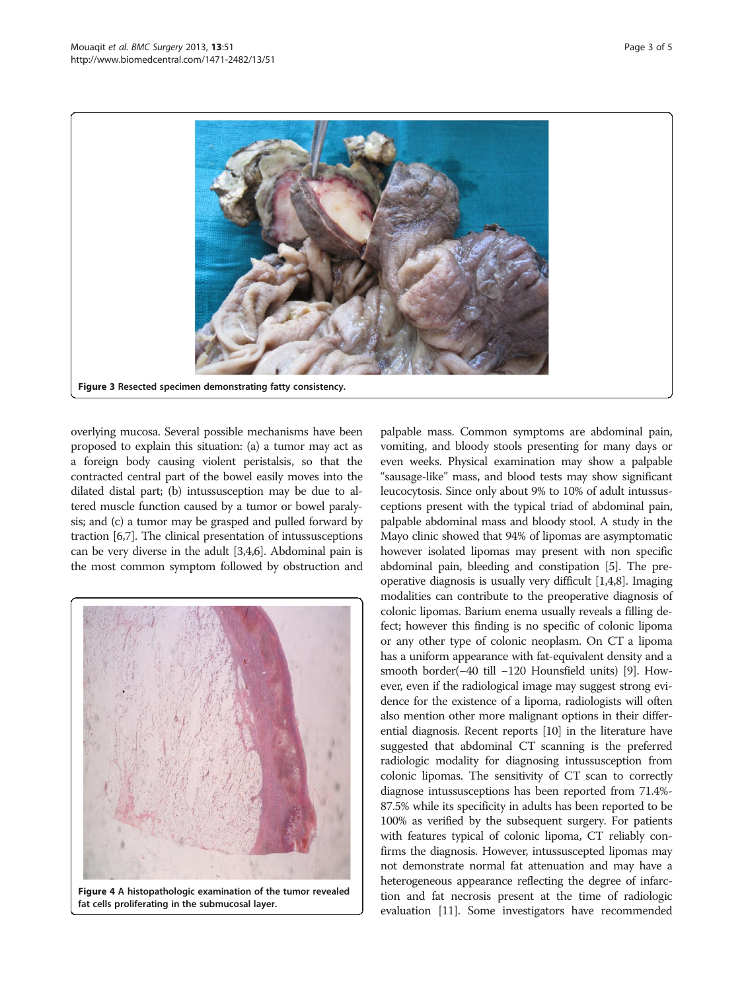<span id="page-2-0"></span>

overlying mucosa. Several possible mechanisms have been proposed to explain this situation: (a) a tumor may act as a foreign body causing violent peristalsis, so that the contracted central part of the bowel easily moves into the dilated distal part; (b) intussusception may be due to altered muscle function caused by a tumor or bowel paralysis; and (c) a tumor may be grasped and pulled forward by traction [[6,7](#page-3-0)]. The clinical presentation of intussusceptions can be very diverse in the adult [\[3,4,6](#page-3-0)]. Abdominal pain is the most common symptom followed by obstruction and



Figure 4 A histopathologic examination of the tumor revealed fat cells proliferating in the submucosal layer.

palpable mass. Common symptoms are abdominal pain, vomiting, and bloody stools presenting for many days or even weeks. Physical examination may show a palpable "sausage-like" mass, and blood tests may show significant leucocytosis. Since only about 9% to 10% of adult intussusceptions present with the typical triad of abdominal pain, palpable abdominal mass and bloody stool. A study in the Mayo clinic showed that 94% of lipomas are asymptomatic however isolated lipomas may present with non specific abdominal pain, bleeding and constipation [[5](#page-3-0)]. The preoperative diagnosis is usually very difficult [[1,4,8\]](#page-3-0). Imaging modalities can contribute to the preoperative diagnosis of colonic lipomas. Barium enema usually reveals a filling defect; however this finding is no specific of colonic lipoma or any other type of colonic neoplasm. On CT a lipoma has a uniform appearance with fat-equivalent density and a smooth border(−40 till −120 Hounsfield units) [\[9\]](#page-3-0). However, even if the radiological image may suggest strong evidence for the existence of a lipoma, radiologists will often also mention other more malignant options in their differential diagnosis. Recent reports [\[10\]](#page-3-0) in the literature have suggested that abdominal CT scanning is the preferred radiologic modality for diagnosing intussusception from colonic lipomas. The sensitivity of CT scan to correctly diagnose intussusceptions has been reported from 71.4%- 87.5% while its specificity in adults has been reported to be 100% as verified by the subsequent surgery. For patients with features typical of colonic lipoma, CT reliably confirms the diagnosis. However, intussuscepted lipomas may not demonstrate normal fat attenuation and may have a heterogeneous appearance reflecting the degree of infarction and fat necrosis present at the time of radiologic evaluation [\[11\]](#page-3-0). Some investigators have recommended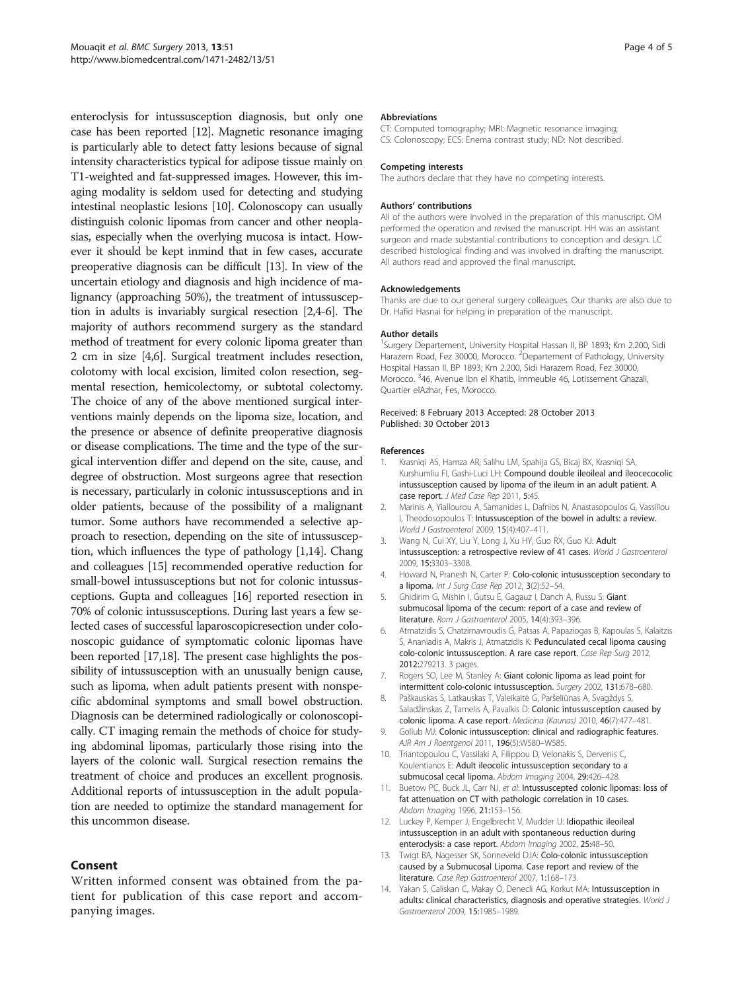<span id="page-3-0"></span>enteroclysis for intussusception diagnosis, but only one case has been reported [12]. Magnetic resonance imaging is particularly able to detect fatty lesions because of signal intensity characteristics typical for adipose tissue mainly on T1-weighted and fat-suppressed images. However, this imaging modality is seldom used for detecting and studying intestinal neoplastic lesions [10]. Colonoscopy can usually distinguish colonic lipomas from cancer and other neoplasias, especially when the overlying mucosa is intact. However it should be kept inmind that in few cases, accurate preoperative diagnosis can be difficult [13]. In view of the uncertain etiology and diagnosis and high incidence of malignancy (approaching 50%), the treatment of intussusception in adults is invariably surgical resection [2,4-6]. The majority of authors recommend surgery as the standard method of treatment for every colonic lipoma greater than 2 cm in size [4,6]. Surgical treatment includes resection, colotomy with local excision, limited colon resection, segmental resection, hemicolectomy, or subtotal colectomy. The choice of any of the above mentioned surgical interventions mainly depends on the lipoma size, location, and the presence or absence of definite preoperative diagnosis or disease complications. The time and the type of the surgical intervention differ and depend on the site, cause, and degree of obstruction. Most surgeons agree that resection is necessary, particularly in colonic intussusceptions and in older patients, because of the possibility of a malignant tumor. Some authors have recommended a selective approach to resection, depending on the site of intussusception, which influences the type of pathology [1,14]. Chang and colleagues [\[15\]](#page-4-0) recommended operative reduction for small-bowel intussusceptions but not for colonic intussusceptions. Gupta and colleagues [\[16\]](#page-4-0) reported resection in 70% of colonic intussusceptions. During last years a few selected cases of successful laparoscopicresection under colonoscopic guidance of symptomatic colonic lipomas have been reported [[17,18\]](#page-4-0). The present case highlights the possibility of intussusception with an unusually benign cause, such as lipoma, when adult patients present with nonspecific abdominal symptoms and small bowel obstruction. Diagnosis can be determined radiologically or colonoscopically. CT imaging remain the methods of choice for studying abdominal lipomas, particularly those rising into the layers of the colonic wall. Surgical resection remains the treatment of choice and produces an excellent prognosis. Additional reports of intussusception in the adult population are needed to optimize the standard management for this uncommon disease.

## Consent

Written informed consent was obtained from the patient for publication of this case report and accompanying images.

#### Abbreviations

CT: Computed tomography; MRI: Magnetic resonance imaging; CS: Colonoscopy; ECS: Enema contrast study; ND: Not described.

#### Competing interests

The authors declare that they have no competing interests.

#### Authors' contributions

All of the authors were involved in the preparation of this manuscript. OM performed the operation and revised the manuscript. HH was an assistant surgeon and made substantial contributions to conception and design. LC described histological finding and was involved in drafting the manuscript. All authors read and approved the final manuscript.

#### Acknowledgements

Thanks are due to our general surgery colleagues. Our thanks are also due to Dr. Hafid Hasnai for helping in preparation of the manuscript.

#### Author details

<sup>1</sup>Surgery Departement, University Hospital Hassan II, BP 1893; Km 2.200, Sidi Harazem Road, Fez 30000, Morocco. <sup>2</sup>Departement of Pathology, University Hospital Hassan II, BP 1893; Km 2.200, Sidi Harazem Road, Fez 30000, Morocco. <sup>3</sup>46, Avenue Ibn el Khatib, Immeuble 46, Lotissement Ghazali Quartier elAzhar, Fes, Morocco.

#### Received: 8 February 2013 Accepted: 28 October 2013 Published: 30 October 2013

#### References

- 1. Krasniqi AS, Hamza AR, Salihu LM, Spahija GS, Bicaj BX, Krasniqi SA, Kurshumliu FI, Gashi-Luci LH: Compound double ileoileal and ileocecocolic intussusception caused by lipoma of the ileum in an adult patient. A case report. J Med Case Rep 2011, 5:45.
- 2. Marinis A, Yiallourou A, Samanides L, Dafnios N, Anastasopoulos G, Vassiliou I, Theodosopoulos T: Intussusception of the bowel in adults: a review. World J Gastroenterol 2009, 15(4):407–411.
- 3. Wang N, Cui XY, Liu Y, Long J, Xu HY, Guo RX, Guo KJ: Adult intussusception: a retrospective review of 41 cases. World J Gastroenterol 2009, 15:3303–3308.
- 4. Howard N, Pranesh N, Carter P: Colo-colonic intusussception secondary to a lipoma. Int J Surg Case Rep 2012, 3(2):52–54.
- 5. Ghidirim G, Mishin I, Gutsu E, Gagauz I, Danch A, Russu S: Giant submucosal lipoma of the cecum: report of a case and review of literature. Rom J Gastroenterol 2005, 14(4):393–396.
- 6. Atmatzidis S, Chatzimavroudis G, Patsas A, Papaziogas B, Kapoulas S, Kalaitzis S, Ananiadis A, Makris J, Atmatzidis K: Pedunculated cecal lipoma causing colo-colonic intussusception. A rare case report. Case Rep Surg 2012, 2012:279213. 3 pages.
- 7. Rogers SO, Lee M, Stanley A: Giant colonic lipoma as lead point for intermittent colo-colonic intussusception. Surgery 2002, 131:678–680.
- 8. Paškauskas S, Latkauskas T, Valeikaitė G, Paršeliūnas A, Svagždys S, Saladžinskas Z, Tamelis A, Pavalkis D: Colonic intussusception caused by colonic lipoma. A case report. Medicina (Kaunas) 2010, 46(7):477–481.
- 9. Gollub MJ: Colonic intussusception: clinical and radiographic features. AJR Am J Roentgenol 2011, 196(5):W580–W585.
- 10. Triantopoulou C, Vassilaki A, Filippou D, Velonakis S, Dervenis C, Koulentianos E: Adult ileocolic intussusception secondary to a submucosal cecal lipoma. Abdom Imaging 2004, 29:426–428.
- 11. Buetow PC, Buck JL, Carr NJ, et al: Intussuscepted colonic lipomas: loss of fat attenuation on CT with pathologic correlation in 10 cases. Abdom Imaging 1996, 21:153–156.
- 12. Luckey P, Kemper J, Engelbrecht V, Mudder U: Idiopathic ileoileal intussusception in an adult with spontaneous reduction during enteroclysis: a case report. Abdom Imaging 2002, 25:48-50.
- 13. Twigt BA, Nagesser SK, Sonneveld DJA: Colo-colonic intussusception caused by a Submucosal Lipoma. Case report and review of the literature. Case Rep Gastroenterol 2007, 1:168–173.
- 14. Yakan S, Caliskan C, Makay O, Denecli AG, Korkut MA: Intussusception in adults: clinical characteristics, diagnosis and operative strategies. World J Gastroenterol 2009, 15:1985–1989.